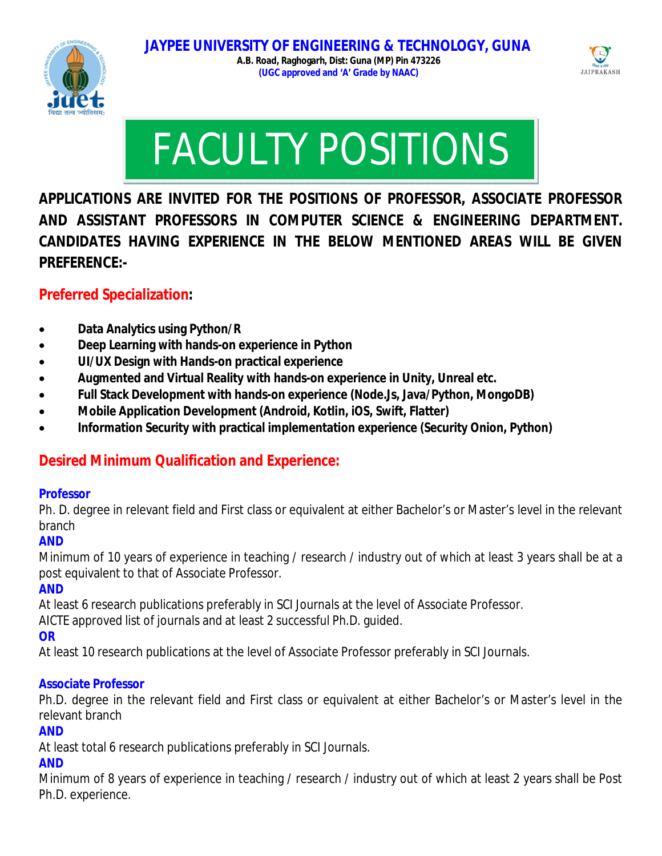



# FACULTY POSITIONS

**APPLICATIONS ARE INVITED FOR THE POSITIONS OF PROFESSOR, ASSOCIATE PROFESSOR AND ASSISTANT PROFESSORS IN COMPUTER SCIENCE & ENGINEERING DEPARTMENT. CANDIDATES HAVING EXPERIENCE IN THE BELOW MENTIONED AREAS WILL BE GIVEN PREFERENCE:-**

## **Preferred Specialization:**

- **Data Analytics using Python/R**
- **Deep Learning with hands-on experience in Python**
- **UI/UX Design with Hands-on practical experience**
- **Augmented and Virtual Reality with hands-on experience in Unity, Unreal etc.**
- **Full Stack Development with hands-on experience (Node.Js, Java/Python, MongoDB)**
- **Mobile Application Development (Android, Kotlin, iOS, Swift, Flatter)**
- **Information Security with practical implementation experience (Security Onion, Python)**

## **Desired Minimum Qualification and Experience:**

#### **Professor**

Ph. D. degree in relevant field and First class or equivalent at either Bachelor's or Master's level in the relevant branch

#### **AND**

Minimum of 10 years of experience in teaching / research / industry out of which at least 3 years shall be at a post equivalent to that of Associate Professor.

## **AND**

At least 6 research publications preferably in SCI Journals at the level of Associate Professor.

AICTE approved list of journals and at least 2 successful Ph.D. guided.

## **OR**

At least 10 research publications at the level of Associate Professor preferably in SCI Journals.

#### **Associate Professor**

Ph.D. degree in the relevant field and First class or equivalent at either Bachelor's or Master's level in the relevant branch

## **AND**

At least total 6 research publications preferably in SCI Journals.

## **AND**

Minimum of 8 years of experience in teaching / research / industry out of which at least 2 years shall be Post Ph.D. experience.